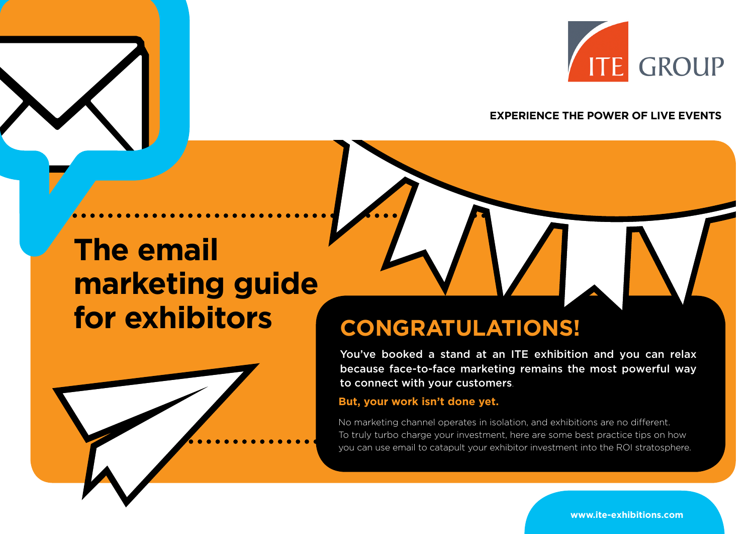

## **EXPERIENCE THE POWER OF LIVE EVENTS**

# **The email marketing guide for exhibitors**



## **CONGRATULATIONS!**

You've booked a stand at an ITE exhibition and you can relax because face-to-face marketing remains the most powerful way to connect with your customers.

#### **But, your work isn't done yet.**

you can use email to catapult your exhibitor investment into the ROI stratosphere. No marketing channel operates in isolation, and exhibitions are no different. To truly turbo charge your investment, here are some best practice tips on how

**www.ite-exhibitions.com**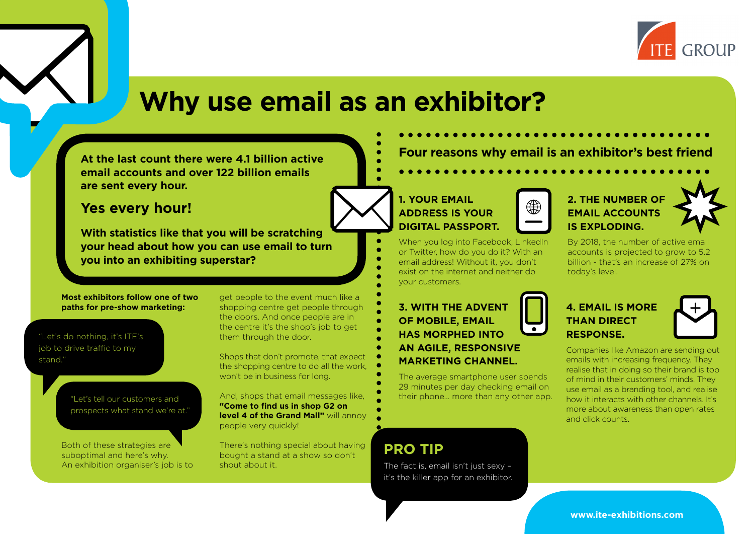

## **Why use email as an exhibitor?**

**At the last count there were 4.1 billion active email accounts and over 122 billion emails are sent every hour.**

## **Yes every hour!**

**With statistics like that you will be scratching your head about how you can use email to turn you into an exhibiting superstar?**

#### **Most exhibitors follow one of two paths for pre-show marketing:**

"Let's do nothing, it's ITE's job to drive traffic to my stand."

> "Let's tell our customers and prospects what stand we're at."

Both of these strategies are suboptimal and here's why. An exhibition organiser's job is to get people to the event much like a shopping centre get people through the doors. And once people are in the centre it's the shop's job to get them through the door.

Shops that don't promote, that expect the shopping centre to do all the work, won't be in business for long.

And, shops that email messages like, **"Come to find us in shop G2 on level 4 of the Grand Mall"** will annoy people very quickly!

There's nothing special about having bought a stand at a show so don't shout about it.

**Four reasons why email is an exhibitor's best friend**

## **1. YOUR EMAIL ADDRESS IS YOUR DIGITAL PASSPORT.**

When you log into Facebook, LinkedIn or Twitter, how do you do it? With an email address! Without it, you don't exist on the internet and neither do your customers.

**3. WITH THE ADVENT OF MOBILE, EMAIL HAS MORPHED INTO AN AGILE, RESPONSIVE MARKETING CHANNEL.**

The average smartphone user spends 29 minutes per day checking email on their phone… more than any other app.

## **PRO TIP**

The fact is, email isn't just sexy – it's the killer app for an exhibitor.



## **2. THE NUMBER OF EMAIL ACCOUNTS IS EXPLODING.**

By 2018, the number of active email accounts is projected to grow to 5.2 billion - that's an increase of 27% on today's level.

## **4. EMAIL IS MORE THAN DIRECT RESPONSE.**



Companies like Amazon are sending out emails with increasing frequency. They realise that in doing so their brand is top of mind in their customers' minds. They use email as a branding tool, and realise how it interacts with other channels. It's more about awareness than open rates and click counts.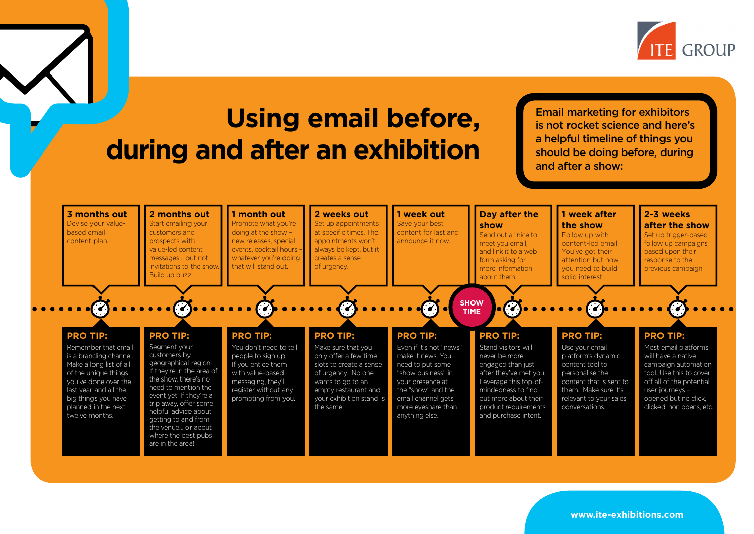

## **Using email before, during and after an exhibition**

Email marketing for exhibitors is not rocket science and here's a helpful timeline of things you should be doing before, during and after a show:

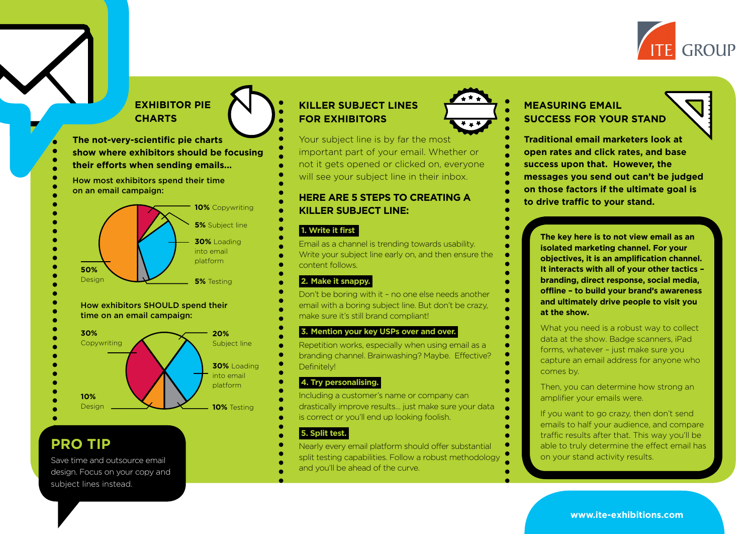

## **EXHIBITOR PIE CHARTS**

- **The not-very-scientific pie charts**
- **show where exhibitors should be focusing their efforts when sending emails...**
- How most exhibitors spend their time on an email campaign:



#### How exhibitors SHOULD spend their time on an email campaign:



## **PRO TIP**

Save time and outsource email design. Focus on your copy and subject lines instead.

## **KILLER SUBJECT LINES FOR EXHIBITORS**

Your subject line is by far the most important part of your email. Whether or not it gets opened or clicked on, everyone will see your subject line in their inbox.

## **to drive traffic to your stand. HERE ARE 5 STEPS TO CREATING A KILLER SUBJECT LINE:**

#### **1. Write it first.**

Email as a channel is trending towards usability. Write your subject line early on, and then ensure the content follows.

### **2. Make it snappy.**

Don't be boring with it – no one else needs another email with a boring subject line. But don't be crazy, make sure it's still brand compliant!

#### **3. Mention your key USPs over and over.**

Repetition works, especially when using email as a branding channel. Brainwashing? Maybe. Effective? Definitely!

#### **4. Try personalising.**

Including a customer's name or company can drastically improve results… just make sure your data is correct or you'll end up looking foolish.

#### **5. Split test.**

Nearly every email platform should offer substantial split testing capabilities. Follow a robust methodology and you'll be ahead of the curve.



## **MEASURING EMAIL SUCCESS FOR YOUR STAND**

**Traditional email marketers look at open rates and click rates, and base success upon that. However, the messages you send out can't be judged on those factors if the ultimate goal is** 

> **The key here is to not view email as an isolated marketing channel. For your objectives, it is an amplification channel. It interacts with all of your other tactics – branding, direct response, social media, offline – to build your brand's awareness and ultimately drive people to visit you at the show.**

> What you need is a robust way to collect data at the show. Badge scanners, iPad forms, whatever – just make sure you capture an email address for anyone who comes by.

Then, you can determine how strong an amplifier your emails were.

If you want to go crazy, then don't send emails to half your audience, and compare traffic results after that. This way you'll be able to truly determine the effect email has on your stand activity results.

**www.ite-exhibitions.com**